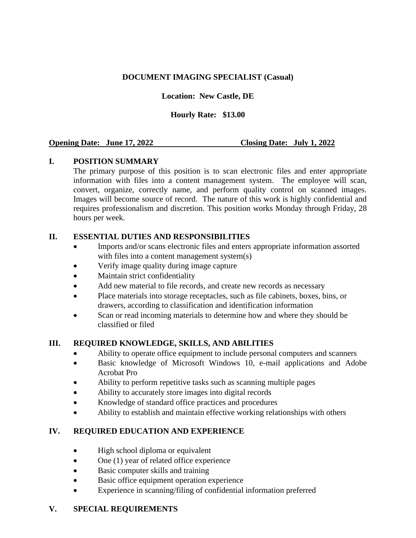### **DOCUMENT IMAGING SPECIALIST (Casual)**

## **Location: New Castle, DE**

### **Hourly Rate: \$13.00**

### **Opening Date: June 17, 2022 Closing Date: July 1, 2022**

## **I. POSITION SUMMARY**

The primary purpose of this position is to scan electronic files and enter appropriate information with files into a content management system. The employee will scan, convert, organize, correctly name, and perform quality control on scanned images. Images will become source of record. The nature of this work is highly confidential and requires professionalism and discretion. This position works Monday through Friday, 28 hours per week.

### **II. ESSENTIAL DUTIES AND RESPONSIBILITIES**

- Imports and/or scans electronic files and enters appropriate information assorted with files into a content management system(s)
- Verify image quality during image capture
- Maintain strict confidentiality
- Add new material to file records, and create new records as necessary
- Place materials into storage receptacles, such as file cabinets, boxes, bins, or drawers, according to classification and identification information
- Scan or read incoming materials to determine how and where they should be classified or filed

# **III. REQUIRED KNOWLEDGE, SKILLS, AND ABILITIES**

- Ability to operate office equipment to include personal computers and scanners
- Basic knowledge of Microsoft Windows 10, e-mail applications and Adobe Acrobat Pro
- Ability to perform repetitive tasks such as scanning multiple pages
- Ability to accurately store images into digital records
- Knowledge of standard office practices and procedures
- Ability to establish and maintain effective working relationships with others

### **IV. REQUIRED EDUCATION AND EXPERIENCE**

- High school diploma or equivalent
- One (1) year of related office experience
- Basic computer skills and training
- Basic office equipment operation experience
- Experience in scanning/filing of confidential information preferred

# **V. SPECIAL REQUIREMENTS**